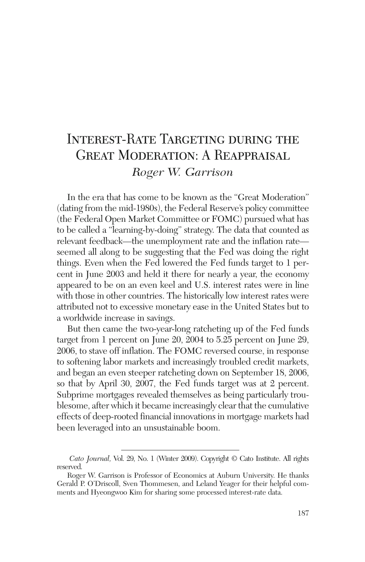# INTEREST-RATE TARGETING DURING THE Great Moderation: A Reappraisal *Roger W. Garrison*

In the era that has come to be known as the "Great Moderation" (dating from the mid-1980s), the Federal Reserve's policy committee (the Federal Open Market Committee or FOMC) pursued what has to be called a "learning-by-doing" strategy. The data that counted as relevant feedback—the unemployment rate and the inflation rate seemed all along to be suggesting that the Fed was doing the right things. Even when the Fed lowered the Fed funds target to 1 percent in June 2003 and held it there for nearly a year, the economy appeared to be on an even keel and U.S. interest rates were in line with those in other countries. The historically low interest rates were attributed not to excessive monetary ease in the United States but to a worldwide increase in savings.

But then came the two-year-long ratcheting up of the Fed funds target from 1 percent on June 20, 2004 to 5.25 percent on June 29, 2006, to stave off inflation. The FOMC reversed course, in response to softening labor markets and increasingly troubled credit markets, and began an even steeper ratcheting down on September 18, 2006, so that by April 30, 2007, the Fed funds target was at 2 percent. Subprime mortgages revealed themselves as being particularly troublesome, after which it became increasingly clear that the cumulative effects of deep-rooted financial innovations in mortgage markets had been leveraged into an unsustainable boom.

*Cato Journal,* Vol. 29, No. 1 (Winter 2009). Copyright © Cato Institute. All rights reserved.

Roger W. Garrison is Professor of Economics at Auburn University. He thanks Gerald P. O'Driscoll, Sven Thommesen, and Leland Yeager for their helpful comments and Hyeongwoo Kim for sharing some processed interest-rate data.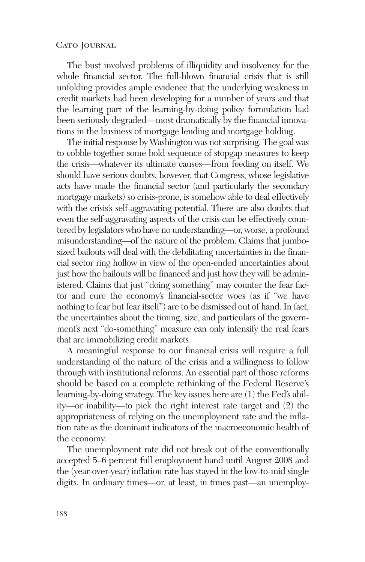The bust involved problems of illiquidity and insolvency for the whole financial sector. The full-blown financial crisis that is still unfolding provides ample evidence that the underlying weakness in credit markets had been developing for a number of years and that the learning part of the learning-by-doing policy formulation had been seriously degraded—most dramatically by the financial innovations in the business of mortgage lending and mortgage holding.

The initial response by Washington was not surprising. The goal was to cobble together some bold sequence of stopgap measures to keep the crisis—whatever its ultimate causes—from feeding on itself. We should have serious doubts, however, that Congress, whose legislative acts have made the financial sector (and particularly the secondary mortgage markets) so crisis-prone, is somehow able to deal effectively with the crisis's self-aggravating potential. There are also doubts that even the self-aggravating aspects of the crisis can be effectively countered by legislators who have no understanding—or, worse, a profound misunderstanding—of the nature of the problem. Claims that jumbosized bailouts will deal with the debilitating uncertainties in the financial sector ring hollow in view of the open-ended uncertainties about just how the bailouts will be financed and just how they will be administered. Claims that just "doing something" may counter the fear factor and cure the economy's financial-sector woes (as if "we have nothing to fear but fear itself") are to be dismissed out of hand. In fact, the uncertainties about the timing, size, and particulars of the government's next "do-something" measure can only intensify the real fears that are immobilizing credit markets.

A meaningful response to our financial crisis will require a full understanding of the nature of the crisis and a willingness to follow through with institutional reforms. An essential part of those reforms should be based on a complete rethinking of the Federal Reserve's learning-by-doing strategy. The key issues here are (1) the Fed's ability—or inability—to pick the right interest rate target and (2) the appropriateness of relying on the unemployment rate and the inflation rate as the dominant indicators of the macroeconomic health of the economy.

The unemployment rate did not break out of the conventionally accepted 5–6 percent full employment band until August 2008 and the (year-over-year) inflation rate has stayed in the low-to-mid single digits. In ordinary times—or, at least, in times past—an unemploy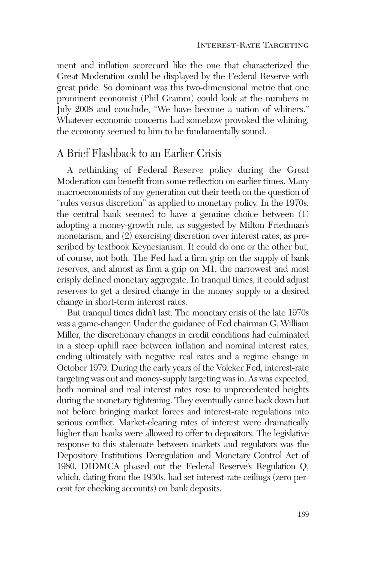ment and inflation scorecard like the one that characterized the Great Moderation could be displayed by the Federal Reserve with great pride. So dominant was this two-dimensional metric that one prominent economist (Phil Gramm) could look at the numbers in July 2008 and conclude, "We have become a nation of whiners." Whatever economic concerns had somehow provoked the whining, the economy seemed to him to be fundamentally sound.

### A Brief Flashback to an Earlier Crisis

A rethinking of Federal Reserve policy during the Great Moderation can benefit from some reflection on earlier times. Many macroeconomists of my generation cut their teeth on the question of "rules versus discretion" as applied to monetary policy. In the 1970s, the central bank seemed to have a genuine choice between (1) adopting a money-growth rule, as suggested by Milton Friedman's monetarism, and (2) exercising discretion over interest rates, as prescribed by textbook Keynesianism. It could do one or the other but, of course, not both. The Fed had a firm grip on the supply of bank reserves, and almost as firm a grip on M1, the narrowest and most crisply defined monetary aggregate. In tranquil times, it could adjust reserves to get a desired change in the money supply or a desired change in short-term interest rates.

But tranquil times didn't last. The monetary crisis of the late 1970s was a game-changer. Under the guidance of Fed chairman G. William Miller, the discretionary changes in credit conditions had culminated in a steep uphill race between inflation and nominal interest rates, ending ultimately with negative real rates and a regime change in October 1979. During the early years of the Volcker Fed, interest-rate targeting was out and money-supply targeting was in. As was expected, both nominal and real interest rates rose to unprecedented heights during the monetary tightening. They eventually came back down but not before bringing market forces and interest-rate regulations into serious conflict. Market-clearing rates of interest were dramatically higher than banks were allowed to offer to depositors. The legislative response to this stalemate between markets and regulators was the Depository Institutions Deregulation and Monetary Control Act of 1980. DIDMCA phased out the Federal Reserve's Regulation Q, which, dating from the 1930s, had set interest-rate ceilings (zero percent for checking accounts) on bank deposits.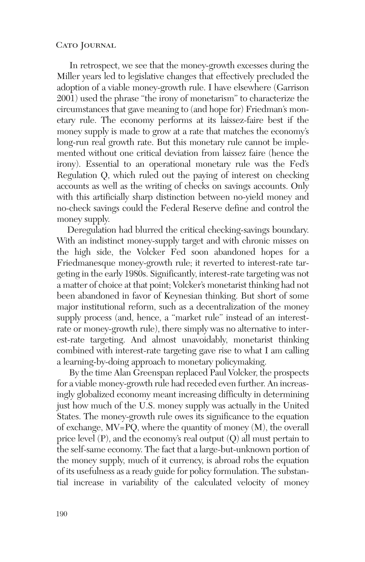In retrospect, we see that the money-growth excesses during the Miller years led to legislative changes that effectively precluded the adoption of a viable money-growth rule. I have elsewhere (Garrison 2001) used the phrase "the irony of monetarism" to characterize the circumstances that gave meaning to (and hope for) Friedman's monetary rule. The economy performs at its laissez-faire best if the money supply is made to grow at a rate that matches the economy's long-run real growth rate. But this monetary rule cannot be implemented without one critical deviation from laissez faire (hence the irony). Essential to an operational monetary rule was the Fed's Regulation Q, which ruled out the paying of interest on checking accounts as well as the writing of checks on savings accounts. Only with this artificially sharp distinction between no-yield money and no-check savings could the Federal Reserve define and control the money supply.

Deregulation had blurred the critical checking-savings boundary. With an indistinct money-supply target and with chronic misses on the high side, the Volcker Fed soon abandoned hopes for a Friedmanesque money-growth rule; it reverted to interest-rate targeting in the early 1980s. Significantly, interest-rate targeting was not a matter of choice at that point; Volcker's monetarist thinking had not been abandoned in favor of Keynesian thinking. But short of some major institutional reform, such as a decentralization of the money supply process (and, hence, a "market rule" instead of an interestrate or money-growth rule), there simply was no alternative to interest-rate targeting. And almost unavoidably, monetarist thinking combined with interest-rate targeting gave rise to what I am calling a learning-by-doing approach to monetary policymaking.

By the time Alan Greenspan replaced Paul Volcker, the prospects for a viable money-growth rule had receded even further. An increasingly globalized economy meant increasing difficulty in determining just how much of the U.S. money supply was actually in the United States. The money-growth rule owes its significance to the equation of exchange, MV=PQ, where the quantity of money (M), the overall price level (P), and the economy's real output (Q) all must pertain to the self-same economy. The fact that a large-but-unknown portion of the money supply, much of it currency, is abroad robs the equation of its usefulness as a ready guide for policy formulation. The substantial increase in variability of the calculated velocity of money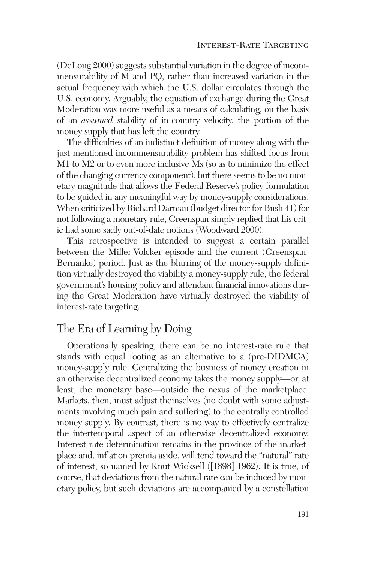(DeLong 2000) suggests substantial variation in the degree of incommensurability of M and PQ, rather than increased variation in the actual frequency with which the U.S. dollar circulates through the U.S. economy. Arguably, the equation of exchange during the Great Moderation was more useful as a means of calculating, on the basis of an *assumed* stability of in-country velocity, the portion of the money supply that has left the country.

The difficulties of an indistinct definition of money along with the just-mentioned incommensurability problem has shifted focus from M1 to M2 or to even more inclusive Ms (so as to minimize the effect of the changing currency component), but there seems to be no monetary magnitude that allows the Federal Reserve's policy formulation to be guided in any meaningful way by money-supply considerations. When criticized by Richard Darman (budget director for Bush 41) for not following a monetary rule, Greenspan simply replied that his critic had some sadly out-of-date notions (Woodward 2000).

This retrospective is intended to suggest a certain parallel between the Miller-Volcker episode and the current (Greenspan-Bernanke) period. Just as the blurring of the money-supply definition virtually destroyed the viability a money-supply rule, the federal government's housing policy and attendant financial innovations during the Great Moderation have virtually destroyed the viability of interest-rate targeting.

# The Era of Learning by Doing

Operationally speaking, there can be no interest-rate rule that stands with equal footing as an alternative to a (pre-DIDMCA) money-supply rule. Centralizing the business of money creation in an otherwise decentralized economy takes the money supply—or, at least, the monetary base—outside the nexus of the marketplace. Markets, then, must adjust themselves (no doubt with some adjustments involving much pain and suffering) to the centrally controlled money supply. By contrast, there is no way to effectively centralize the intertemporal aspect of an otherwise decentralized economy. Interest-rate determination remains in the province of the marketplace and, inflation premia aside, will tend toward the "natural" rate of interest, so named by Knut Wicksell ([1898] 1962). It is true, of course, that deviations from the natural rate can be induced by monetary policy, but such deviations are accompanied by a constellation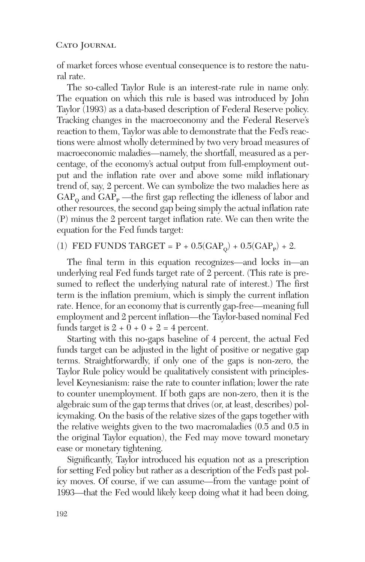of market forces whose eventual consequence is to restore the natural rate.

The so-called Taylor Rule is an interest-rate rule in name only. The equation on which this rule is based was introduced by John Taylor (1993) as a data-based description of Federal Reserve policy. Tracking changes in the macroeconomy and the Federal Reserve's reaction to them, Taylor was able to demonstrate that the Fed's reactions were almost wholly determined by two very broad measures of macroeconomic maladies—namely, the shortfall, measured as a percentage, of the economy's actual output from full-employment output and the inflation rate over and above some mild inflationary trend of, say, 2 percent. We can symbolize the two maladies here as  $GAP<sub>o</sub>$  and  $GAP<sub>p</sub>$  —the first gap reflecting the idleness of labor and other resources, the second gap being simply the actual inflation rate (P) minus the 2 percent target inflation rate. We can then write the equation for the Fed funds target:

#### (1) FED FUNDS TARGET =  $P + 0.5(GAP<sub>o</sub>) + 0.5(GAP<sub>p</sub>) + 2$ .

The final term in this equation recognizes—and locks in—an underlying real Fed funds target rate of 2 percent. (This rate is presumed to reflect the underlying natural rate of interest.) The first term is the inflation premium, which is simply the current inflation rate. Hence, for an economy that is currently gap-free—meaning full employment and 2 percent inflation—the Taylor-based nominal Fed funds target is  $2 + 0 + 0 + 2 = 4$  percent.

Starting with this no-gaps baseline of 4 percent, the actual Fed funds target can be adjusted in the light of positive or negative gap terms. Straightforwardly, if only one of the gaps is non-zero, the Taylor Rule policy would be qualitatively consistent with principleslevel Keynesianism: raise the rate to counter inflation; lower the rate to counter unemployment. If both gaps are non-zero, then it is the algebraic sum of the gap terms that drives (or, at least, describes) policymaking. On the basis of the relative sizes of the gaps together with the relative weights given to the two macromaladies (0.5 and 0.5 in the original Taylor equation), the Fed may move toward monetary ease or monetary tightening.

Significantly, Taylor introduced his equation not as a prescription for setting Fed policy but rather as a description of the Fed's past policy moves. Of course, if we can assume—from the vantage point of 1993—that the Fed would likely keep doing what it had been doing,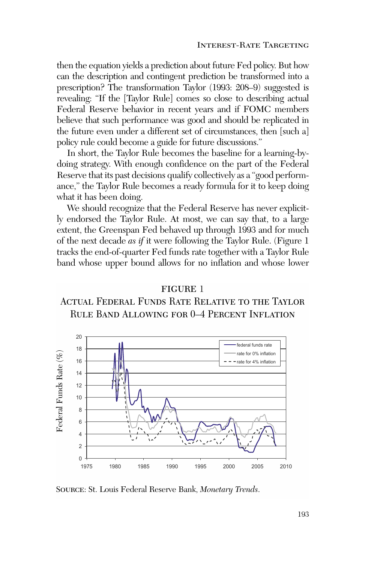then the equation yields a prediction about future Fed policy. But how can the description and contingent prediction be transformed into a prescription? The transformation Taylor (1993: 208–9) suggested is revealing: "If the [Taylor Rule] comes so close to describing actual Federal Reserve behavior in recent years and if FOMC members believe that such performance was good and should be replicated in the future even under a different set of circumstances, then [such a] policy rule could become a guide for future discussions."

In short, the Taylor Rule becomes the baseline for a learning-bydoing strategy. With enough confidence on the part of the Federal Reserve that its past decisions qualify collectively as a "good performance," the Taylor Rule becomes a ready formula for it to keep doing what it has been doing.

We should recognize that the Federal Reserve has never explicitly endorsed the Taylor Rule. At most, we can say that, to a large extent, the Greenspan Fed behaved up through 1993 and for much of the next decade *as if* it were following the Taylor Rule. (Figure 1 tracks the end-of-quarter Fed funds rate together with a Taylor Rule band whose upper bound allows for no inflation and whose lower

## figure 1 ACTUAL FEDERAL FUNDS RATE RELATIVE TO THE TAYLOR Rule Band Allowing for 0–4 Percent Inflation



Source: St. Louis Federal Reserve Bank, *Monetary Trends*.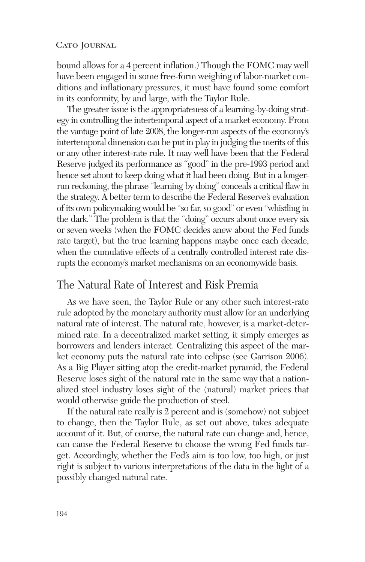bound allows for a 4 percent inflation.) Though the FOMC may well have been engaged in some free-form weighing of labor-market conditions and inflationary pressures, it must have found some comfort in its conformity, by and large, with the Taylor Rule.

The greater issue is the appropriateness of a learning-by-doing strategy in controlling the intertemporal aspect of a market economy. From the vantage point of late 2008, the longer-run aspects of the economy's intertemporal dimension can be put in play in judging the merits of this or any other interest-rate rule. It may well have been that the Federal Reserve judged its performance as "good" in the pre-1993 period and hence set about to keep doing what it had been doing. But in a longerrun reckoning, the phrase "learning by doing" conceals a critical flaw in the strategy. A better term to describe the Federal Reserve's evaluation of its own policymaking would be "so far, so good" or even "whistling in the dark." The problem is that the "doing" occurs about once every six or seven weeks (when the FOMC decides anew about the Fed funds rate target), but the true learning happens maybe once each decade, when the cumulative effects of a centrally controlled interest rate disrupts the economy's market mechanisms on an economywide basis.

### The Natural Rate of Interest and Risk Premia

As we have seen, the Taylor Rule or any other such interest-rate rule adopted by the monetary authority must allow for an underlying natural rate of interest. The natural rate, however, is a market-determined rate. In a decentralized market setting, it simply emerges as borrowers and lenders interact. Centralizing this aspect of the market economy puts the natural rate into eclipse (see Garrison 2006). As a Big Player sitting atop the credit-market pyramid, the Federal Reserve loses sight of the natural rate in the same way that a nationalized steel industry loses sight of the (natural) market prices that would otherwise guide the production of steel.

If the natural rate really is 2 percent and is (somehow) not subject to change, then the Taylor Rule, as set out above, takes adequate account of it. But, of course, the natural rate can change and, hence, can cause the Federal Reserve to choose the wrong Fed funds target. Accordingly, whether the Fed's aim is too low, too high, or just right is subject to various interpretations of the data in the light of a possibly changed natural rate.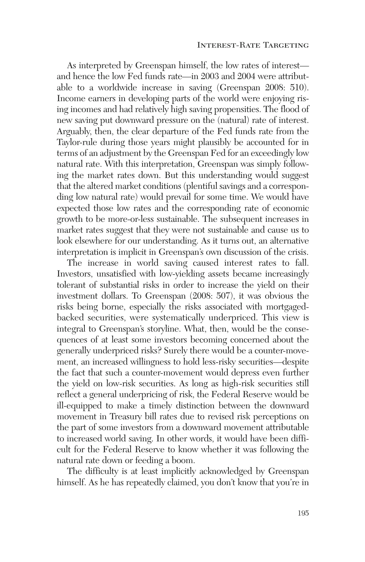As interpreted by Greenspan himself, the low rates of interest and hence the low Fed funds rate—in 2003 and 2004 were attributable to a worldwide increase in saving (Greenspan 2008: 510). Income earners in developing parts of the world were enjoying rising incomes and had relatively high saving propensities. The flood of new saving put downward pressure on the (natural) rate of interest. Arguably, then, the clear departure of the Fed funds rate from the Taylor-rule during those years might plausibly be accounted for in terms of an adjustment by the Greenspan Fed for an exceedingly low natural rate. With this interpretation, Greenspan was simply following the market rates down. But this understanding would suggest that the altered market conditions (plentiful savings and a corresponding low natural rate) would prevail for some time. We would have expected those low rates and the corresponding rate of economic growth to be more-or-less sustainable. The subsequent increases in market rates suggest that they were not sustainable and cause us to look elsewhere for our understanding. As it turns out, an alternative interpretation is implicit in Greenspan's own discussion of the crisis.

The increase in world saving caused interest rates to fall. Investors, unsatisfied with low-yielding assets became increasingly tolerant of substantial risks in order to increase the yield on their investment dollars. To Greenspan (2008: 507), it was obvious the risks being borne, especially the risks associated with mortgagedbacked securities, were systematically underpriced. This view is integral to Greenspan's storyline. What, then, would be the consequences of at least some investors becoming concerned about the generally underpriced risks? Surely there would be a counter-movement, an increased willingness to hold less-risky securities—despite the fact that such a counter-movement would depress even further the yield on low-risk securities. As long as high-risk securities still reflect a general underpricing of risk, the Federal Reserve would be ill-equipped to make a timely distinction between the downward movement in Treasury bill rates due to revised risk perceptions on the part of some investors from a downward movement attributable to increased world saving. In other words, it would have been difficult for the Federal Reserve to know whether it was following the natural rate down or feeding a boom.

The difficulty is at least implicitly acknowledged by Greenspan himself. As he has repeatedly claimed, you don't know that you're in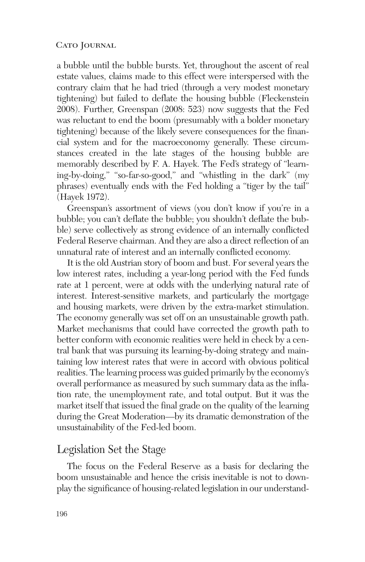a bubble until the bubble bursts. Yet, throughout the ascent of real estate values, claims made to this effect were interspersed with the contrary claim that he had tried (through a very modest monetary tightening) but failed to deflate the housing bubble (Fleckenstein 2008). Further, Greenspan (2008: 523) now suggests that the Fed was reluctant to end the boom (presumably with a bolder monetary tightening) because of the likely severe consequences for the financial system and for the macroeconomy generally. These circumstances created in the late stages of the housing bubble are memorably described by F. A. Hayek. The Fed's strategy of "learning-by-doing," "so-far-so-good," and "whistling in the dark" (my phrases) eventually ends with the Fed holding a "tiger by the tail" (Hayek 1972).

Greenspan's assortment of views (you don't know if you're in a bubble; you can't deflate the bubble; you shouldn't deflate the bubble) serve collectively as strong evidence of an internally conflicted Federal Reserve chairman. And they are also a direct reflection of an unnatural rate of interest and an internally conflicted economy.

It is the old Austrian story of boom and bust. For several years the low interest rates, including a year-long period with the Fed funds rate at 1 percent, were at odds with the underlying natural rate of interest. Interest-sensitive markets, and particularly the mortgage and housing markets, were driven by the extra-market stimulation. The economy generally was set off on an unsustainable growth path. Market mechanisms that could have corrected the growth path to better conform with economic realities were held in check by a central bank that was pursuing its learning-by-doing strategy and maintaining low interest rates that were in accord with obvious political realities. The learning process was guided primarily by the economy's overall performance as measured by such summary data as the inflation rate, the unemployment rate, and total output. But it was the market itself that issued the final grade on the quality of the learning during the Great Moderation—by its dramatic demonstration of the unsustainability of the Fed-led boom.

## Legislation Set the Stage

The focus on the Federal Reserve as a basis for declaring the boom unsustainable and hence the crisis inevitable is not to downplay the significance of housing-related legislation in our understand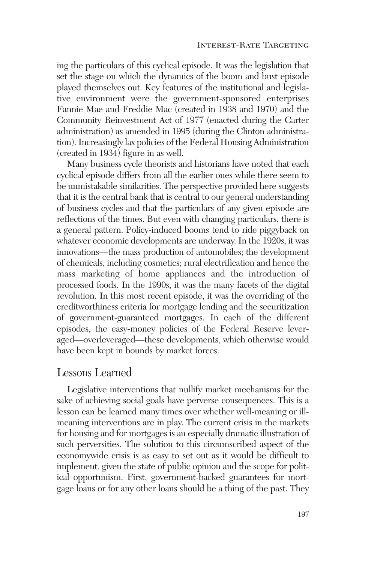ing the particulars of this cyclical episode. It was the legislation that set the stage on which the dynamics of the boom and bust episode played themselves out. Key features of the institutional and legislative environment were the government-sponsored enterprises Fannie Mae and Freddie Mac (created in 1938 and 1970) and the Community Reinvestment Act of 1977 (enacted during the Carter administration) as amended in 1995 (during the Clinton administration). Increasingly lax policies of the Federal Housing Administration (created in 1934) figure in as well.

Many business cycle theorists and historians have noted that each cyclical episode differs from all the earlier ones while there seem to be unmistakable similarities. The perspective provided here suggests that it is the central bank that is central to our general understanding of business cycles and that the particulars of any given episode are reflections of the times. But even with changing particulars, there is a general pattern. Policy-induced booms tend to ride piggyback on whatever economic developments are underway. In the 1920s, it was innovations—the mass production of automobiles; the development of chemicals, including cosmetics; rural electrification and hence the mass marketing of home appliances and the introduction of processed foods. In the 1990s, it was the many facets of the digital revolution. In this most recent episode, it was the overriding of the creditworthiness criteria for mortgage lending and the securitization of government-guaranteed mortgages. In each of the different episodes, the easy-money policies of the Federal Reserve leveraged—overleveraged—these developments, which otherwise would have been kept in bounds by market forces.

### Lessons Learned

Legislative interventions that nullify market mechanisms for the sake of achieving social goals have perverse consequences. This is a lesson can be learned many times over whether well-meaning or illmeaning interventions are in play. The current crisis in the markets for housing and for mortgages is an especially dramatic illustration of such perversities. The solution to this circumscribed aspect of the economywide crisis is as easy to set out as it would be difficult to implement, given the state of public opinion and the scope for political opportunism. First, government-backed guarantees for mortgage loans or for any other loans should be a thing of the past. They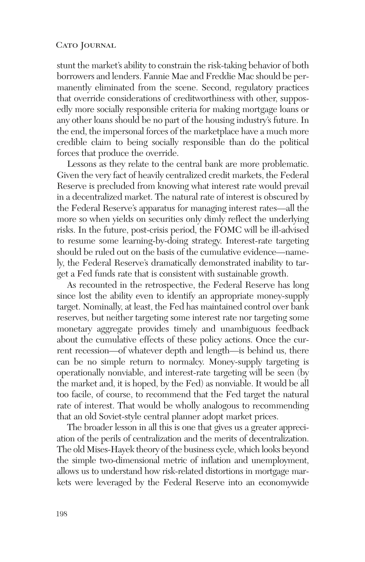stunt the market's ability to constrain the risk-taking behavior of both borrowers and lenders. Fannie Mae and Freddie Mac should be permanently eliminated from the scene. Second, regulatory practices that override considerations of creditworthiness with other, supposedly more socially responsible criteria for making mortgage loans or any other loans should be no part of the housing industry's future. In the end, the impersonal forces of the marketplace have a much more credible claim to being socially responsible than do the political forces that produce the override.

Lessons as they relate to the central bank are more problematic. Given the very fact of heavily centralized credit markets, the Federal Reserve is precluded from knowing what interest rate would prevail in a decentralized market. The natural rate of interest is obscured by the Federal Reserve's apparatus for managing interest rates—all the more so when yields on securities only dimly reflect the underlying risks. In the future, post-crisis period, the FOMC will be ill-advised to resume some learning-by-doing strategy. Interest-rate targeting should be ruled out on the basis of the cumulative evidence—namely, the Federal Reserve's dramatically demonstrated inability to target a Fed funds rate that is consistent with sustainable growth.

As recounted in the retrospective, the Federal Reserve has long since lost the ability even to identify an appropriate money-supply target. Nominally, at least, the Fed has maintained control over bank reserves, but neither targeting some interest rate nor targeting some monetary aggregate provides timely and unambiguous feedback about the cumulative effects of these policy actions. Once the current recession—of whatever depth and length—is behind us, there can be no simple return to normalcy. Money-supply targeting is operationally nonviable, and interest-rate targeting will be seen (by the market and, it is hoped, by the Fed) as nonviable. It would be all too facile, of course, to recommend that the Fed target the natural rate of interest. That would be wholly analogous to recommending that an old Soviet-style central planner adopt market prices.

The broader lesson in all this is one that gives us a greater appreciation of the perils of centralization and the merits of decentralization. The old Mises-Hayek theory of the business cycle, which looks beyond the simple two-dimensional metric of inflation and unemployment, allows us to understand how risk-related distortions in mortgage markets were leveraged by the Federal Reserve into an economywide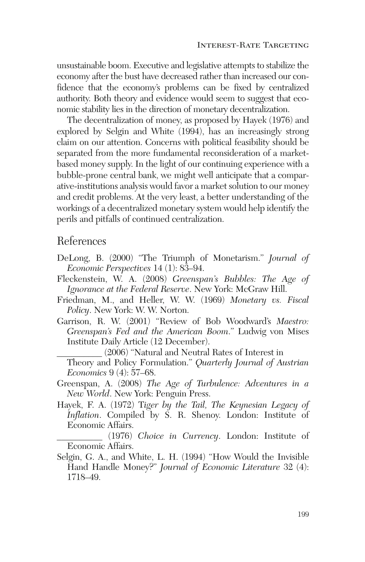unsustainable boom. Executive and legislative attempts to stabilize the economy after the bust have decreased rather than increased our confidence that the economy's problems can be fixed by centralized authority. Both theory and evidence would seem to suggest that economic stability lies in the direction of monetary decentralization.

The decentralization of money, as proposed by Hayek (1976) and explored by Selgin and White (1994), has an increasingly strong claim on our attention. Concerns with political feasibility should be separated from the more fundamental reconsideration of a marketbased money supply. In the light of our continuing experience with a bubble-prone central bank, we might well anticipate that a comparative-institutions analysis would favor a market solution to our money and credit problems. At the very least, a better understanding of the workings of a decentralized monetary system would help identify the perils and pitfalls of continued centralization.

### References

- DeLong, B. (2000) "The Triumph of Monetarism." *Journal of Economic Perspectives* 14 (1): 83–94.
- Fleckenstein, W. A. (2008) *Greenspan's Bubbles: The Age of Ignorance at the Federal Reserve*. New York: McGraw Hill.
- Friedman, M., and Heller, W. W. (1969) *Monetary vs. Fiscal Policy*. New York: W. W. Norton.
- Garrison, R. W. (2001) "Review of Bob Woodward's *Maestro: Greenspan's Fed and the American Boom*." Ludwig von Mises Institute Daily Article (12 December).

\_\_\_\_\_\_\_\_\_\_ (2006) "Natural and Neutral Rates of Interest in Theory and Policy Formulation." *Quarterly Journal of Austrian Economics* 9 (4): 57–68.

- Greenspan, A. (2008) *The Age of Turbulence: Adventures in a New World*. New York: Penguin Press.
- Hayek, F. A. (1972) T*iger by the Tail, The Keynesian Legacy of Inflation*. Compiled by S. R. Shenoy. London: Institute of Economic Affairs.
- \_\_\_\_\_\_\_\_\_\_ (1976) *Choice in Currency*. London: Institute of Economic Affairs.
- Selgin, G. A., and White, L. H. (1994) "How Would the Invisible Hand Handle Money?" *Journal of Economic Literature* 32 (4): 1718–49.